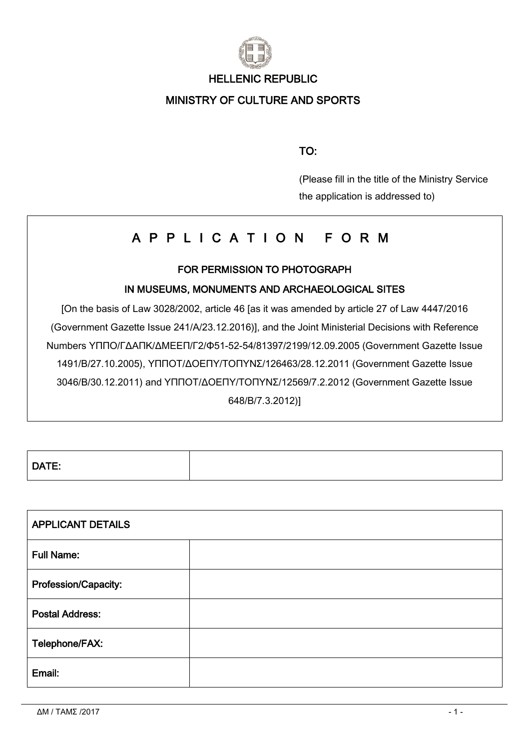

### HELLENIC REPUBLIC

## MINISTRY OF CULTURE AND SPORTS

TO:

(Please fill in the title of the Ministry Service the application is addressed to)

# A P P L I C A T I O N F O R M

FOR PERMISSION TO PHOTOGRAPH

#### IN MUSEUMS, MONUMENTS AND ARCHAEOLOGICAL SITES

[On the basis of Law 3028/2002, article 46 [as it was amended by article 27 of Law 4447/2016 (Government Gazette Issue 241/Α/23.12.2016)], and the Joint Ministerial Decisions with Reference Numbers ΥΠΠΟ/ΓΔΑΠΚ/ΔΜΕΕΠ/Γ2/Φ51-52-54/81397/2199/12.09.2005 (Government Gazette Issue 1491/B/27.10.2005), ΥΠΠΟΤ/ΔΟΕΠΥ/ΤΟΠΥΝΣ/126463/28.12.2011 (Government Gazette Issue 3046/Β/30.12.2011) and ΥΠΠΟΤ/ΔΟΕΠΥ/ΤΟΠΥΝΣ/12569/7.2.2012 (Government Gazette Issue 648/Β/7.3.2012)]

| <b>APPLICANT DETAILS</b> |  |
|--------------------------|--|
| <b>Full Name:</b>        |  |
| Profession/Capacity:     |  |
| <b>Postal Address:</b>   |  |
| Telephone/FAX:           |  |
| Email:                   |  |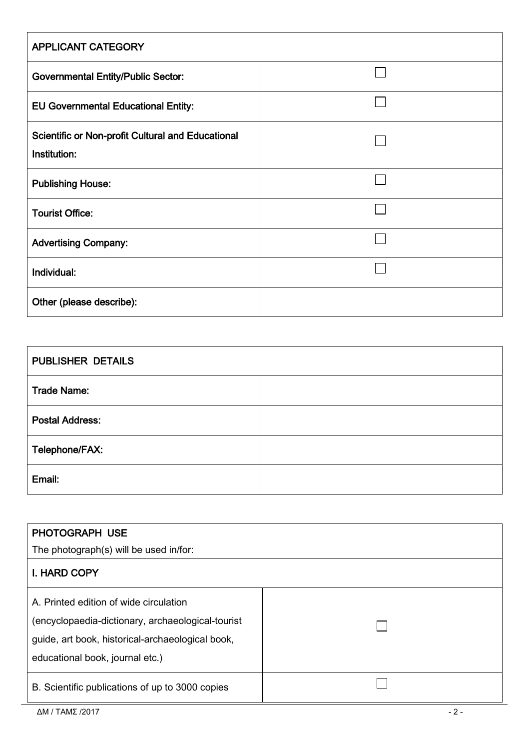| <b>APPLICANT CATEGORY</b>                                                |  |
|--------------------------------------------------------------------------|--|
| <b>Governmental Entity/Public Sector:</b>                                |  |
| <b>EU Governmental Educational Entity:</b>                               |  |
| <b>Scientific or Non-profit Cultural and Educational</b><br>Institution: |  |
| <b>Publishing House:</b>                                                 |  |
| <b>Tourist Office:</b>                                                   |  |
| <b>Advertising Company:</b>                                              |  |
| Individual:                                                              |  |
| Other (please describe):                                                 |  |

| <b>PUBLISHER DETAILS</b> |  |
|--------------------------|--|
| <b>Trade Name:</b>       |  |
| <b>Postal Address:</b>   |  |
| Telephone/FAX:           |  |
| Email:                   |  |

| <b>PHOTOGRAPH USE</b>                             |  |
|---------------------------------------------------|--|
| The photograph(s) will be used in/for:            |  |
| <b>I. HARD COPY</b>                               |  |
| A. Printed edition of wide circulation            |  |
| (encyclopaedia-dictionary, archaeological-tourist |  |
| guide, art book, historical-archaeological book,  |  |
| educational book, journal etc.)                   |  |
| B. Scientific publications of up to 3000 copies   |  |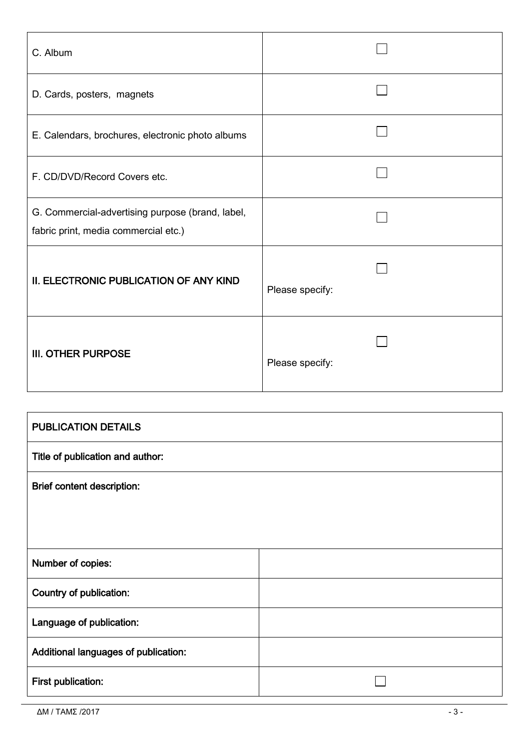| C. Album                                                                                 |                 |
|------------------------------------------------------------------------------------------|-----------------|
| D. Cards, posters, magnets                                                               |                 |
| E. Calendars, brochures, electronic photo albums                                         |                 |
| F. CD/DVD/Record Covers etc.                                                             |                 |
| G. Commercial-advertising purpose (brand, label,<br>fabric print, media commercial etc.) |                 |
| II. ELECTRONIC PUBLICATION OF ANY KIND                                                   | Please specify: |
| <b>III. OTHER PURPOSE</b>                                                                | Please specify: |

| <b>PUBLICATION DETAILS</b>           |  |
|--------------------------------------|--|
| Title of publication and author:     |  |
| <b>Brief content description:</b>    |  |
|                                      |  |
|                                      |  |
| Number of copies:                    |  |
| Country of publication:              |  |
| Language of publication:             |  |
| Additional languages of publication: |  |
| First publication:                   |  |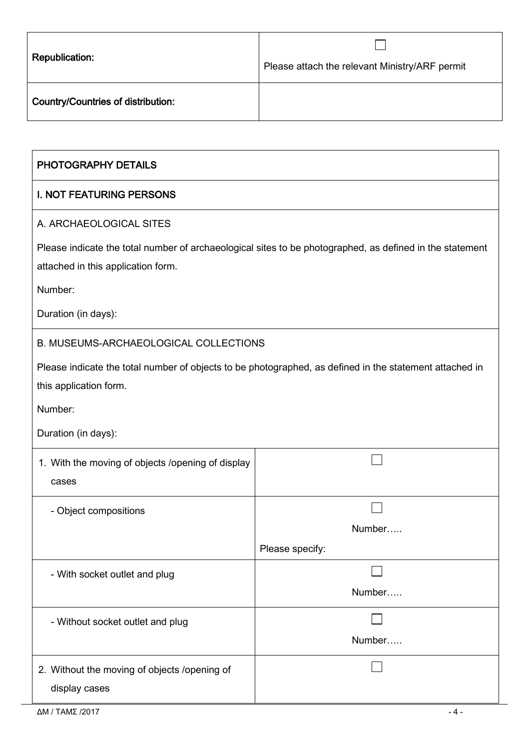| <b>Republication:</b>                     | Please attach the relevant Ministry/ARF permit |
|-------------------------------------------|------------------------------------------------|
| <b>Country/Countries of distribution:</b> |                                                |

| PHOTOGRAPHY DETAILS                                                                                                                            |                 |
|------------------------------------------------------------------------------------------------------------------------------------------------|-----------------|
| <b>I. NOT FEATURING PERSONS</b>                                                                                                                |                 |
| A. ARCHAEOLOGICAL SITES                                                                                                                        |                 |
| Please indicate the total number of archaeological sites to be photographed, as defined in the statement<br>attached in this application form. |                 |
| Number:                                                                                                                                        |                 |
| Duration (in days):                                                                                                                            |                 |
| B. MUSEUMS-ARCHAEOLOGICAL COLLECTIONS                                                                                                          |                 |
| Please indicate the total number of objects to be photographed, as defined in the statement attached in<br>this application form.              |                 |
| Number:                                                                                                                                        |                 |
| Duration (in days):                                                                                                                            |                 |
| 1. With the moving of objects /opening of display<br>cases                                                                                     |                 |
| - Object compositions                                                                                                                          |                 |
|                                                                                                                                                | Number          |
|                                                                                                                                                | Please specify: |
| - With socket outlet and plug                                                                                                                  |                 |
|                                                                                                                                                | Number          |
| - Without socket outlet and plug                                                                                                               |                 |
|                                                                                                                                                | Number          |
| 2. Without the moving of objects /opening of<br>display cases                                                                                  |                 |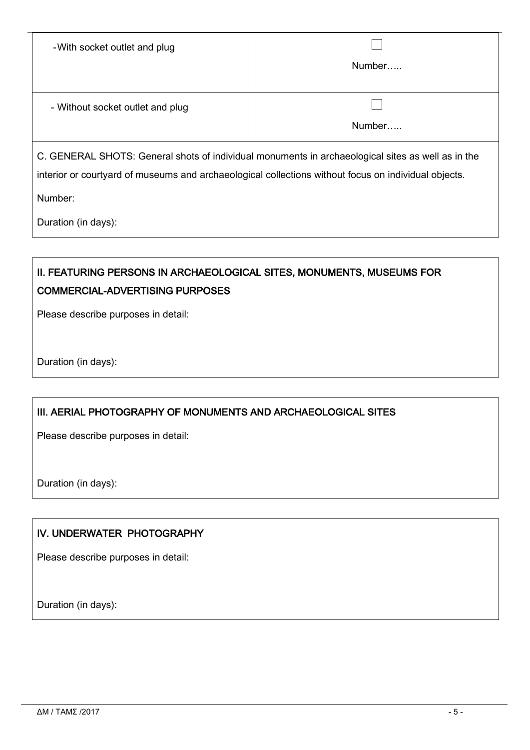| -With socket outlet and plug                                                                         |        |  |
|------------------------------------------------------------------------------------------------------|--------|--|
|                                                                                                      | Number |  |
|                                                                                                      |        |  |
| - Without socket outlet and plug                                                                     |        |  |
|                                                                                                      | Number |  |
| C. GENERAL SHOTS: General shots of individual monuments in archaeological sites as well as in the    |        |  |
| interior or courtyard of museums and archaeological collections without focus on individual objects. |        |  |
| Number:                                                                                              |        |  |
| Duration (in days):                                                                                  |        |  |

# ΙΙ. FEATURING PERSONS IN ARCHAEOLOGICAL SITES, MONUMENTS, MUSEUMS FOR COMMERCIAL-ADVERTISING PURPOSES

Please describe purposes in detail:

Duration (in days):

### ΙΙΙ. AERIAL PHOTOGRAPHY OF MONUMENTS AND ARCHAEOLOGICAL SITES

Please describe purposes in detail:

Duration (in days):

### IV. UNDERWATER PHOTOGRAPHY

Please describe purposes in detail:

Duration (in days):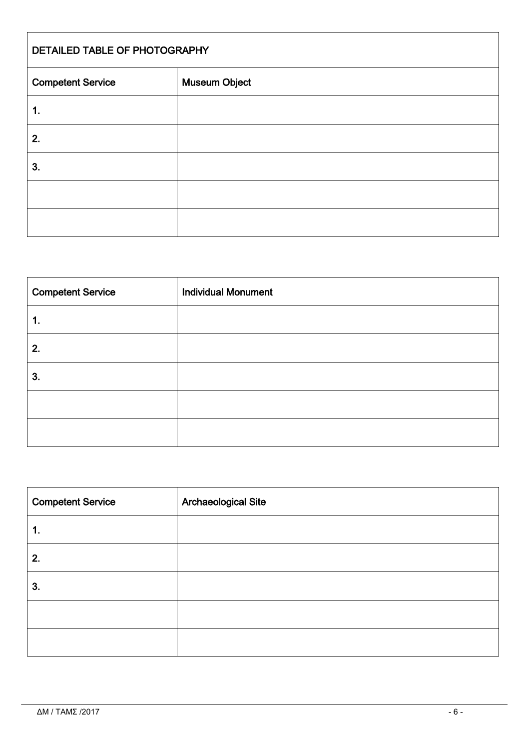| DETAILED TABLE OF PHOTOGRAPHY |                      |
|-------------------------------|----------------------|
| <b>Competent Service</b>      | <b>Museum Object</b> |
| 1.                            |                      |
| 2.                            |                      |
| 3.                            |                      |
|                               |                      |
|                               |                      |

| <b>Competent Service</b> | <b>Individual Monument</b> |
|--------------------------|----------------------------|
| 1.                       |                            |
| 2.                       |                            |
| 3.                       |                            |
|                          |                            |
|                          |                            |

| <b>Competent Service</b> | <b>Archaeological Site</b> |
|--------------------------|----------------------------|
| 1.                       |                            |
| 2.                       |                            |
| 3.                       |                            |
|                          |                            |
|                          |                            |